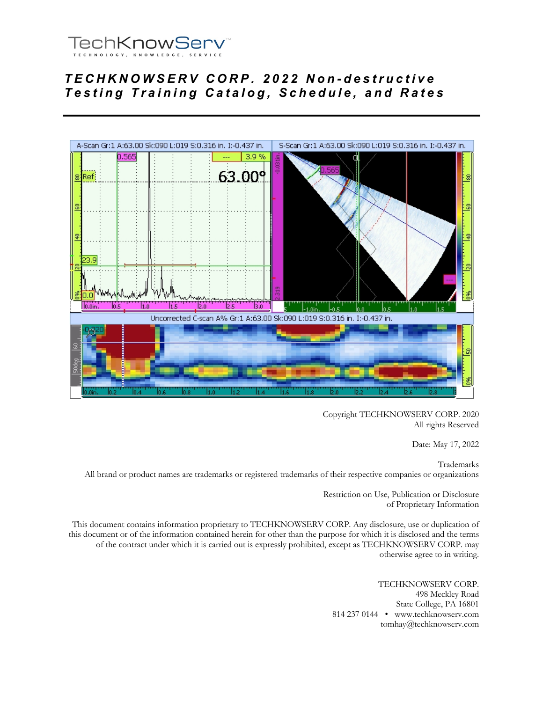

# *TECHKNOWSERV CORP. 202 2 Non - destructive Testing Training Catalog, Schedule, and Rates*



Copyright TECHKNOWSERV CORP. 2020 All rights Reserved

Date: May 17, 2022

Trademarks All brand or product names are trademarks or registered trademarks of their respective companies or organizations

> Restriction on Use, Publication or Disclosure of Proprietary Information

This document contains information proprietary to TECHKNOWSERV CORP. Any disclosure, use or duplication of this document or of the information contained herein for other than the purpose for which it is disclosed and the terms of the contract under which it is carried out is expressly prohibited, except as TECHKNOWSERV CORP. may otherwise agree to in writing.

> TECHKNOWSERV CORP. 498 Meckley Road State College, PA 16801 814 237 0144 • www.techknowserv.com tomhay@techknowserv.com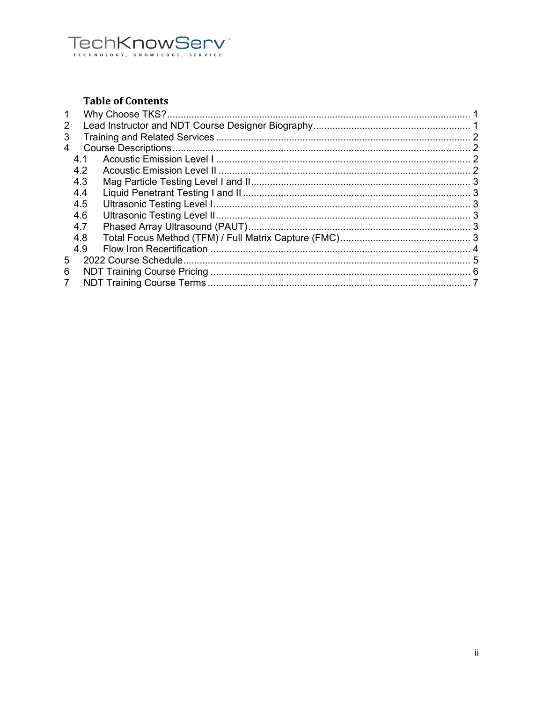# TechKnowServ

# **Table of Contents**

| 2  |     |  |
|----|-----|--|
| 3  |     |  |
| 4  |     |  |
|    | 4.1 |  |
|    | 4.2 |  |
|    | 4.3 |  |
|    | 4.4 |  |
|    | 4.5 |  |
|    | 4.6 |  |
|    | 4.7 |  |
|    | 4.8 |  |
|    | 4.9 |  |
| 5. |     |  |
| 6  |     |  |
| 7  |     |  |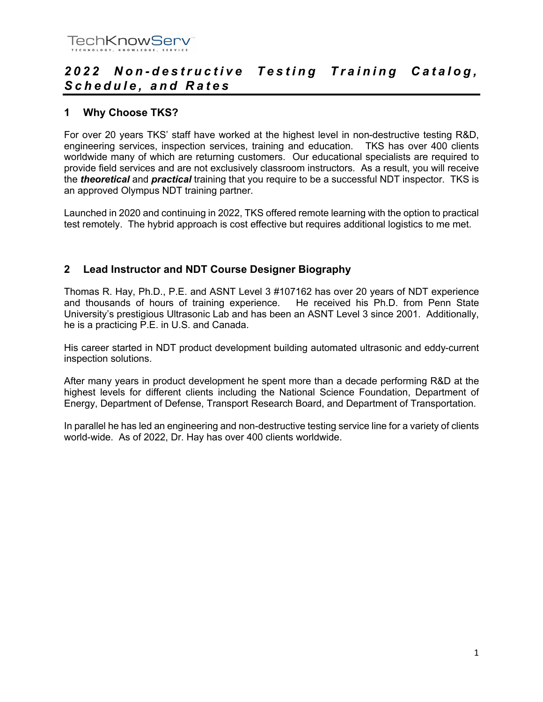

# *202 2 Non - destructive Testing Training Catalog, Schedule, and Rates*

# **1 Why Choose TKS?**

For over 20 years TKS' staff have worked at the highest level in non-destructive testing R&D, engineering services, inspection services, training and education. TKS has over 400 clients worldwide many of which are returning customers. Our educational specialists are required to provide field services and are not exclusively classroom instructors. As a result, you will receive the *theoretical* and *practical* training that you require to be a successful NDT inspector. TKS is an approved Olympus NDT training partner.

Launched in 2020 and continuing in 2022, TKS offered remote learning with the option to practical test remotely. The hybrid approach is cost effective but requires additional logistics to me met.

# **2 Lead Instructor and NDT Course Designer Biography**

Thomas R. Hay, Ph.D., P.E. and ASNT Level 3 #107162 has over 20 years of NDT experience and thousands of hours of training experience. He received his Ph.D. from Penn State University's prestigious Ultrasonic Lab and has been an ASNT Level 3 since 2001. Additionally, he is a practicing P.E. in U.S. and Canada.

His career started in NDT product development building automated ultrasonic and eddy-current inspection solutions.

After many years in product development he spent more than a decade performing R&D at the highest levels for different clients including the National Science Foundation, Department of Energy, Department of Defense, Transport Research Board, and Department of Transportation.

In parallel he has led an engineering and non-destructive testing service line for a variety of clients world-wide. As of 2022, Dr. Hay has over 400 clients worldwide.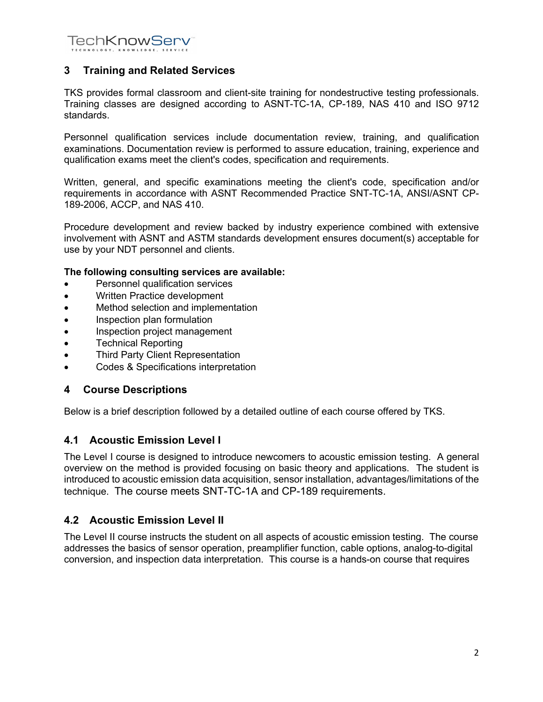**TechKnowServ®** 

# **3 Training and Related Services**

TKS provides formal classroom and client-site training for nondestructive testing professionals. Training classes are designed according to ASNT-TC-1A, CP-189, NAS 410 and ISO 9712 standards.

Personnel qualification services include documentation review, training, and qualification examinations. Documentation review is performed to assure education, training, experience and qualification exams meet the client's codes, specification and requirements.

Written, general, and specific examinations meeting the client's code, specification and/or requirements in accordance with ASNT Recommended Practice SNT-TC-1A, ANSI/ASNT CP-189-2006, ACCP, and NAS 410.

Procedure development and review backed by industry experience combined with extensive involvement with ASNT and ASTM standards development ensures document(s) acceptable for use by your NDT personnel and clients.

#### **The following consulting services are available:**

- Personnel qualification services
- Written Practice development
- Method selection and implementation
- Inspection plan formulation
- Inspection project management
- Technical Reporting
- Third Party Client Representation
- Codes & Specifications interpretation

#### **4 Course Descriptions**

Below is a brief description followed by a detailed outline of each course offered by TKS.

# **4.1 Acoustic Emission Level I**

The Level I course is designed to introduce newcomers to acoustic emission testing. A general overview on the method is provided focusing on basic theory and applications. The student is introduced to acoustic emission data acquisition, sensor installation, advantages/limitations of the technique. The course meets SNT-TC-1A and CP-189 requirements.

# **4.2 Acoustic Emission Level II**

The Level II course instructs the student on all aspects of acoustic emission testing. The course addresses the basics of sensor operation, preamplifier function, cable options, analog-to-digital conversion, and inspection data interpretation. This course is a hands-on course that requires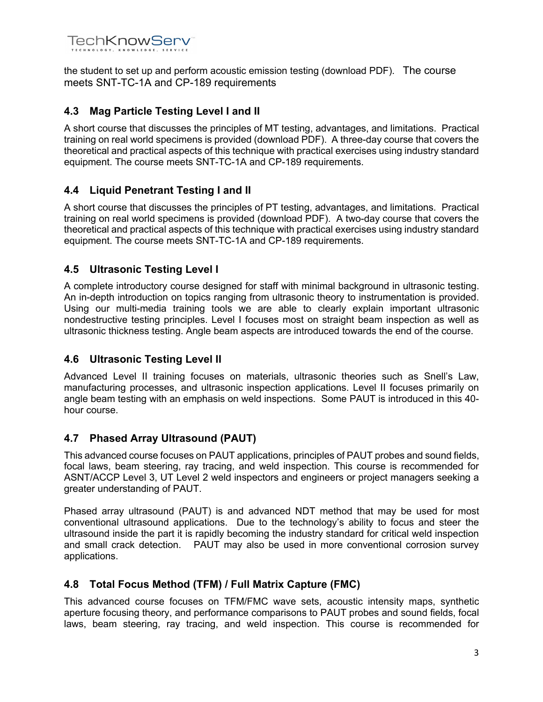

the student to set up and perform acoustic emission testing (download PDF). The course meets SNT-TC-1A and CP-189 requirements

# **4.3 Mag Particle Testing Level I and II**

A short course that discusses the principles of MT testing, advantages, and limitations. Practical training on real world specimens is provided (download PDF). A three-day course that covers the theoretical and practical aspects of this technique with practical exercises using industry standard equipment. The course meets SNT-TC-1A and CP-189 requirements.

# **4.4 Liquid Penetrant Testing I and II**

A short course that discusses the principles of PT testing, advantages, and limitations. Practical training on real world specimens is provided (download PDF). A two-day course that covers the theoretical and practical aspects of this technique with practical exercises using industry standard equipment. The course meets SNT-TC-1A and CP-189 requirements.

# **4.5 Ultrasonic Testing Level I**

A complete introductory course designed for staff with minimal background in ultrasonic testing. An in-depth introduction on topics ranging from ultrasonic theory to instrumentation is provided. Using our multi-media training tools we are able to clearly explain important ultrasonic nondestructive testing principles. Level I focuses most on straight beam inspection as well as ultrasonic thickness testing. Angle beam aspects are introduced towards the end of the course.

# **4.6 Ultrasonic Testing Level II**

Advanced Level II training focuses on materials, ultrasonic theories such as Snell's Law, manufacturing processes, and ultrasonic inspection applications. Level II focuses primarily on angle beam testing with an emphasis on weld inspections. Some PAUT is introduced in this 40 hour course.

# **4.7 Phased Array Ultrasound (PAUT)**

This advanced course focuses on PAUT applications, principles of PAUT probes and sound fields, focal laws, beam steering, ray tracing, and weld inspection. This course is recommended for ASNT/ACCP Level 3, UT Level 2 weld inspectors and engineers or project managers seeking a greater understanding of PAUT.

Phased array ultrasound (PAUT) is and advanced NDT method that may be used for most conventional ultrasound applications. Due to the technology's ability to focus and steer the ultrasound inside the part it is rapidly becoming the industry standard for critical weld inspection and small crack detection. PAUT may also be used in more conventional corrosion survey applications.

# **4.8 Total Focus Method (TFM) / Full Matrix Capture (FMC)**

This advanced course focuses on TFM/FMC wave sets, acoustic intensity maps, synthetic aperture focusing theory, and performance comparisons to PAUT probes and sound fields, focal laws, beam steering, ray tracing, and weld inspection. This course is recommended for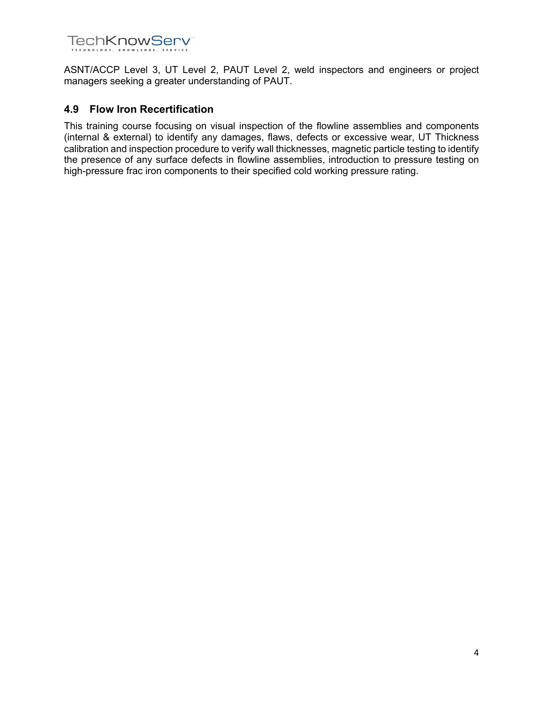

ASNT/ACCP Level 3, UT Level 2, PAUT Level 2, weld inspectors and engineers or project managers seeking a greater understanding of PAUT.

#### **4.9 Flow Iron Recertification**

This training course focusing on visual inspection of the flowline assemblies and components (internal & external) to identify any damages, flaws, defects or excessive wear, UT Thickness calibration and inspection procedure to verify wall thicknesses, magnetic particle testing to identify the presence of any surface defects in flowline assemblies, introduction to pressure testing on high-pressure frac iron components to their specified cold working pressure rating.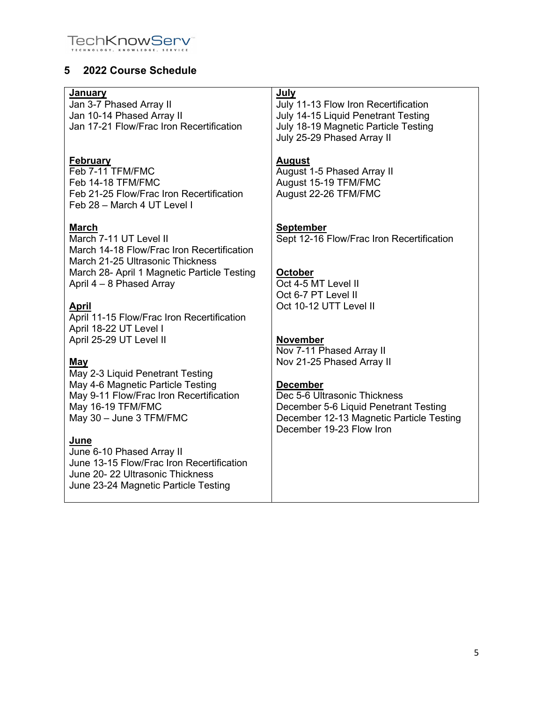

# **5 2022 Course Schedule**

| July<br>July 11-13 Flow Iron Recertification<br>July 14-15 Liquid Penetrant Testing<br>July 18-19 Magnetic Particle Testing<br>July 25-29 Phased Array II        |
|------------------------------------------------------------------------------------------------------------------------------------------------------------------|
| <b>August</b><br>August 1-5 Phased Array II<br>August 15-19 TFM/FMC<br>August 22-26 TFM/FMC                                                                      |
| <b>September</b><br>Sept 12-16 Flow/Frac Iron Recertification                                                                                                    |
| <b>October</b><br>Oct 4-5 MT Level II<br>Oct 6-7 PT Level II                                                                                                     |
| Oct 10-12 UTT Level II                                                                                                                                           |
| <b>November</b><br>Nov 7-11 Phased Array II<br>Nov 21-25 Phased Array II                                                                                         |
| <b>December</b><br>Dec 5-6 Ultrasonic Thickness<br>December 5-6 Liquid Penetrant Testing<br>December 12-13 Magnetic Particle Testing<br>December 19-23 Flow Iron |
|                                                                                                                                                                  |
|                                                                                                                                                                  |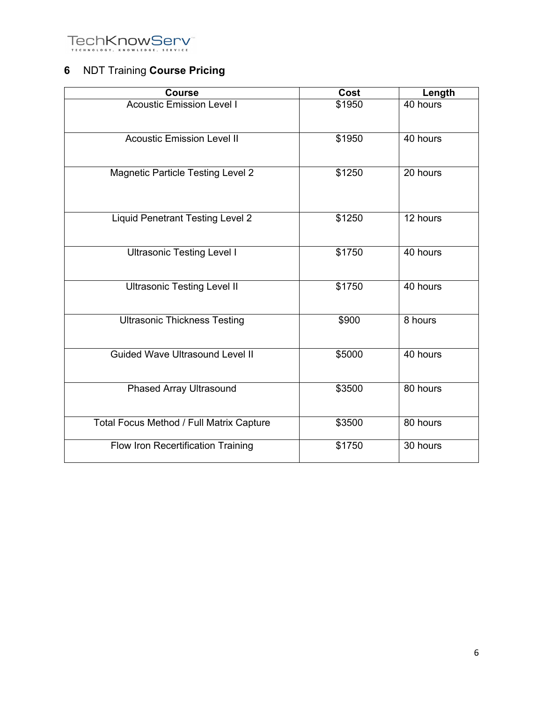

# **6** NDT Training **Course Pricing**

| <b>Course</b>                            | Cost   | Length   |
|------------------------------------------|--------|----------|
| <b>Acoustic Emission Level I</b>         | \$1950 | 40 hours |
| <b>Acoustic Emission Level II</b>        | \$1950 | 40 hours |
| <b>Magnetic Particle Testing Level 2</b> | \$1250 | 20 hours |
| <b>Liquid Penetrant Testing Level 2</b>  | \$1250 | 12 hours |
| <b>Ultrasonic Testing Level I</b>        | \$1750 | 40 hours |
| <b>Ultrasonic Testing Level II</b>       | \$1750 | 40 hours |
| <b>Ultrasonic Thickness Testing</b>      | \$900  | 8 hours  |
| <b>Guided Wave Ultrasound Level II</b>   | \$5000 | 40 hours |
| <b>Phased Array Ultrasound</b>           | \$3500 | 80 hours |
| Total Focus Method / Full Matrix Capture | \$3500 | 80 hours |
| Flow Iron Recertification Training       | \$1750 | 30 hours |